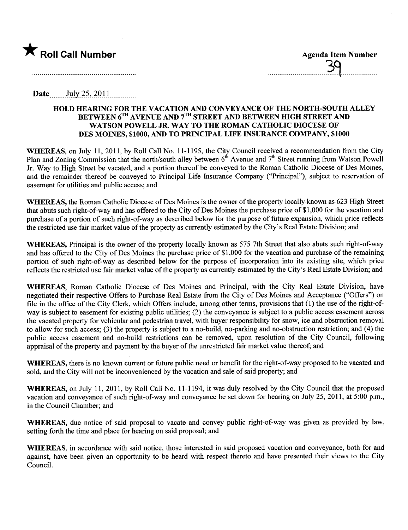

..............................p9...................

Date. ....\_Jllly\_~S-,)QJ J\_\_\_\_\_\_ \_ \_ \_ \_ \_\_

#### HOLD HEARING FOR THE VACATION AND CONVEYANCE OF THE NORTH-SOUTH ALLEY BETWEEN  $6^{TH}$  AVENUE AND  $7^{TH}$  STREET AND BETWEEN HIGH STREET AND WATSON POWELL JR. WAY TO THE ROMAN CATHOLIC DIOCESE OF DES MOINES, \$1000, AND TO PRINCIPAL LIFE INSURANCE COMPANY, \$1000

WHEREAS, on July 11, 2011, by Roll Call No. 11-1195, the City Council received a recommendation from the City Plan and Zoning Commission that the north/south alley between  $6<sup>th</sup>$  Avenue and  $7<sup>th</sup>$  Street running from Watson Powell Jr. Way to High Street be vacated, and a portion thereof be conveyed to the Roman Catholic Diocese of Des Moines, and the remainder thereof be conveyed to Principal Life Insurance Company ("Principal"), subject to reservation of easement for utilities and public access; and

WHEREAS, the Roman Catholic Diocese of Des Moines is the owner of the property locally known as 623 High Street that abuts such right-of-way and has offered to the City of Des Moines the purchase price of \$ 1 ,000 for the vacation and purchase of a portion of such right-of-way as described below for the purpose of future expansion, which price reflects the restricted use fair market value of the property as currently estimated by the City's Real Estate Division; and

WHEREAS, Principal is the owner of the property locally known as 575 7th Street that also abuts such right-of-way and has offered to the City of Des Moines the purchase price of \$1,000 for the vacation and purchase of the remaining portion of such right-of-way as described below for the purpose of incorporation into its existing site, which price reflects the restricted use fair market value of the property as currently estimated by the City's Real Estate Division; and

WHEREAS, Roman Catholic Diocese of Des Moines and Principal, with the City Real Estate Division, have negotiated their respective Offers to Purchase Real Estate from the City of Des Moines and Acceptance ("Offers") on fie in the office of the City Clerk, which Offers include, among other terms, provisions that (1) the use of the right-ofway is subject to easement for existing public utilties; (2) the conveyance is subject to a public access easement across the vacated property for vehicular and pedestrian travel, with buyer responsibility for snow, ice and obstruction removal to allow for such access; (3) the property is subject to a no-build, no-parking and no-obstruction restriction; and (4) the public access easement and no-build restrictions can be removed, upon resolution of the City Council, following appraisal of the property and payment by the buyer of the unrestricted fair market value thereof; and

WHEREAS, there is no known current or future public need or benefit for the right-of-way proposed to be vacated and sold, and the City will not be inconvenienced by the vacation and sale of said property; and

WHEREAS, on July 11, 2011, by Roll Call No. 11-1194, it was duly resolved by the City Council that the proposed vacation and conveyance of such right-of-way and conveyance be set down for hearing on July 25, 2011, at 5:00 p.m., in the Council Chamber; and

WHEREAS, due notice of said proposal to vacate and convey public right-of-way was given as provided by law, setting forth the time and place for hearing on said proposal; and

WHEREAS, in accordance with said notice, those interested in said proposed vacation and conveyance, both for and against, have been given an opportunity to be heard with respect thereto and have presented their views to the City CounciL.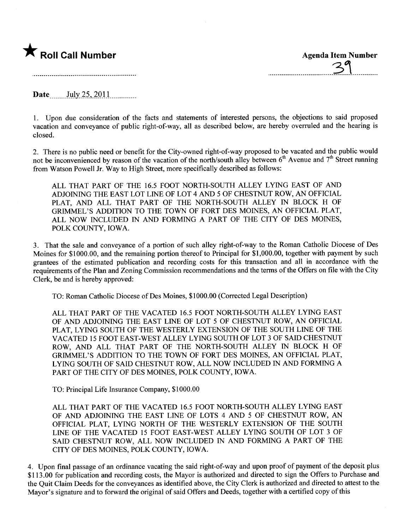

Date  $_{\text{July 25, 2011}}$ 

1. Upon due consideration of the facts and statements of interested persons, the objections to said proposed vacation and conveyance of public right-of-way, all as described below, are hereby overruled and the hearing is closed.

2. There is no public need or benefit for the City-owned right-of-way proposed to be vacated and the public would not be inconvenienced by reason of the vacation of the north/south alley between  $6<sup>th</sup>$  Avenue and  $7<sup>th</sup>$  Street running from Watson Powell Jr. Way to High Street, more specifically described as follows:

ALL THAT PART OF THE 16.5 FOOT NORTH-SOUTH ALLEY LYING EAST OF AND ADJOINING THE EAST LOT LINE OF LOT 4 AND 5 OF CHESTNUT ROW, AN OFFICIAL PLAT, AND ALL THAT PART OF THE NORTH-SOUTH ALLEY IN BLOCK H OF GRIMEL'S ADDITION TO THE TOWN OF FORT DES MOINES, AN OFFICIAL PLAT, ALL NOW INCLUDED IN AND FORMING A PART OF THE CITY OF DES MOINES, POLK COUNTY, IOWA.

3. That the sale and conveyance of a portion of such alley right-of-way to the Roman Catholic Diocese of Des Moines for \$1000.00, and the remaining portion thereof to Principal for \$1,000.00, together with payment by such grantees of the estimated publication and recording costs for this transaction and all in accordance with the requirements of the Plan and Zoning Commission recommendations and the terms of the Offers on fie with the City Clerk, be and is hereby approved:

TO: Roman Catholic Diocese of Des Moines, \$1000.00 (Corrected Legal Description)

ALL THAT PART OF THE VACATED 16.5 FOOT NORTH-SOUTH ALLEY LYING EAST OF AND ADJOINING THE EAST LINE OF LOT 5 OF CHESTNUT ROW, AN OFFICIAL PLAT, LYING SOUTH OF THE WESTERLY EXTENSION OF THE SOUTH LINE OF THE VACATED 15 FOOT EAST-WEST ALLEY LYING SOUTH OF LOT 3 OF SAID CHESTNT ROW, AND ALL THAT PART OF THE NORTH-SOUTH ALLEY IN BLOCK H OF GRIMMEL'S ADDITION TO THE TOWN OF FORT DES MOINES, AN OFFICIAL PLAT, LYING SOUTH OF SAID CHESTNUT ROW, ALL NOW INCLUDED IN AND FORMING A PART OF THE CITY OF DES MOINES, POLK COUNTY, IOWA.

TO: Principal Life Insurance Company, \$1000.00

ALL THAT PART OF THE VACATED 16.5 FOOT NORTH-SOUTH ALLEY LYING EAST OF AND ADJOINING THE EAST LINE OF LOTS 4 AND 5 OF CHESTNUT ROW, AN OFFICIAL PLAT, LYING NORTH OF THE WESTERLY EXTENSION OF THE SOUTH LINE OF THE VACATED 15 FOOT EAST-WEST ALLEY LYING SOUTH OF LOT 3 OF SAID CHESTNUT ROW, ALL NOW INCLUDED IN AND FORMING A PART OF THE CITY OF DES MOINES, POLK COUNTY, IOWA.

4. Upon final passage of an ordinance vacating the said right-of-way and upon proof of payment of the deposit plus \$113.00 for publication and recording costs, the Mayor is authorized and directed to sign the Offers to Purchase and the Quit Claim Deeds for the conveyances as identified above, the City Clerk is authorized and directed to attest to the Mayor's signature and to forward the original of said Offers and Deeds, together with a certified copy of this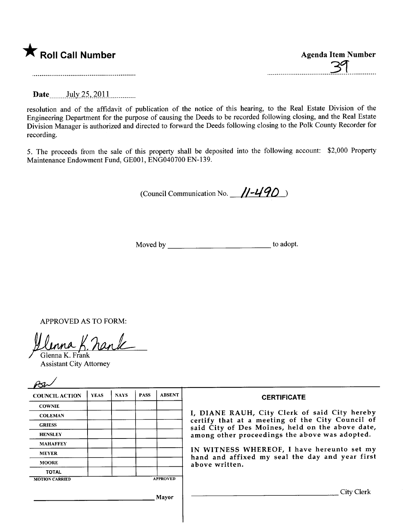|  |  |  | K Roll Call Number |
|--|--|--|--------------------|
|--|--|--|--------------------|

| Roll Call Number | <b>Agenda Item Number</b> |
|------------------|---------------------------|
|                  | $\neg \sigma$             |
|                  |                           |

Date July 25, 2011

resolution and of the affdavit of publication of the notice of this hearing, to the Real Estate Division of the Engineering Department for the purpose of causing the Deeds to be recorded following closing, and the Real Estate Division Manager is authorized and directed to forward the Deeds following closing to the Polk County Recorder for recording.

5. The proceeds from the sale of this property shall be deposited into the following account: \$2,000 Property Maintenance Endowment Fund, GE001, ENG040700 EN-139.

(Council Communication No.  $\frac{11-490}{1}$ 

Moved by to adopt.

APPROVED AS TO FORM:

<u>lenna K. nank</u>

Assistant City Attorney

| <b>COUNCIL ACTION</b> | <b>YEAS</b> | <b>NAYS</b> | <b>PASS</b> | <b>ABSENT</b>   | <b>CERTIFICATE</b>                                                                                   |
|-----------------------|-------------|-------------|-------------|-----------------|------------------------------------------------------------------------------------------------------|
| <b>COWNIE</b>         |             |             |             |                 |                                                                                                      |
| <b>COLEMAN</b>        |             |             |             |                 | I, DIANE RAUH, City Clerk of said City hereby                                                        |
| <b>GRIESS</b>         |             |             |             |                 | certify that at a meeting of the City Council of<br>said City of Des Moines, held on the above date, |
| <b>HENSLEY</b>        |             |             |             |                 | among other proceedings the above was adopted.                                                       |
| <b>MAHAFFEY</b>       |             |             |             |                 |                                                                                                      |
| <b>MEYER</b>          |             |             |             |                 | IN WITNESS WHEREOF, I have hereunto set my<br>hand and affixed my seal the day and year first        |
| <b>MOORE</b>          |             |             |             |                 | above written.                                                                                       |
| <b>TOTAL</b>          |             |             |             |                 |                                                                                                      |
| <b>MOTION CARRIED</b> |             |             |             | <b>APPROVED</b> |                                                                                                      |
|                       |             |             |             | Mavor           | City Clerk                                                                                           |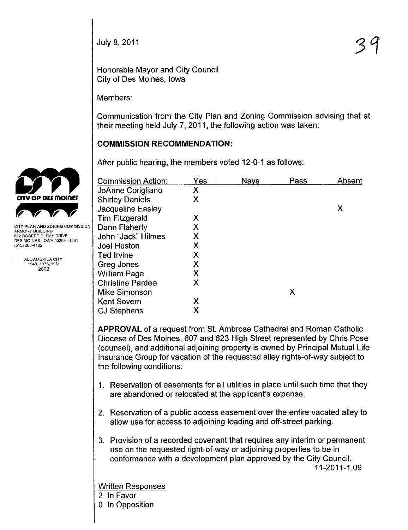Honorable Mayor and City Council City of Des Moines, Iowa

Members:

Communication from the City Plan and Zoning Commission advising that at their meeting held July 7, 2011, the following action was taken:

# **COMMISSION RECOMMENDATION:**

After public hearing, the members voted 12-0-1 as follows:

| <b>Commission Action:</b> | Yes | <b>Nays</b> | Pass | Absent |
|---------------------------|-----|-------------|------|--------|
| JoAnne Corigliano         | Χ   |             |      |        |
| <b>Shirley Daniels</b>    | Χ   |             |      |        |
| <b>Jacqueline Easley</b>  |     |             |      | Χ      |
| Tim Fitzgerald            | Χ   |             |      |        |
| Dann Flaherty             | Χ   |             |      |        |
| John "Jack" Hilmes        | Χ   |             |      |        |
| <b>Joel Huston</b>        | Χ   |             |      |        |
| <b>Ted Irvine</b>         | Χ   |             |      |        |
| Greg Jones                | Χ   |             |      |        |
| <b>William Page</b>       | Χ   |             |      |        |
| <b>Christine Pardee</b>   | Χ   |             |      |        |
| <b>Mike Simonson</b>      |     |             | Χ    |        |
| <b>Kent Sovern</b>        | Χ   |             |      |        |
| <b>CJ Stephens</b>        | Χ   |             |      |        |

APPROVAL of a request from St. Ambrose Cathedral and Roman Catholic Diocese of Des Moines, 607 and 623 High Street represented by Chris Pose (counsel), and additional adjoining property is owned by Principal Mutual Life Insurance Group for vacation of the requested alley rights-of-way subject to the following conditions:

- 1. Reservation of easements for all utilities in place until such time that they are abandoned or relocated at the applicant's expense.
- 2. Reservation of a public access easement over the entire vacated alley to allow use for access to adjoining loading and off-street parking.
- 3. Provision of a recorded covenant that requires any interim or permanent use on the requested right-of-way or adjoining properties to be in conformance with a development plan approved by the City CounciL. 11-2011-1.09

Written Responses

- 2 In Favor
- o In Opposition



**CITY PLAN AND ZONING COMMISSION** ARMORY BUILDING<br>602 ROBERT D. RAY DRIVE DES MOINES, IOWA 50309-1881 (515) 283-4182

> ALL-AMERICA CITY 1949, 1976, 1981 2003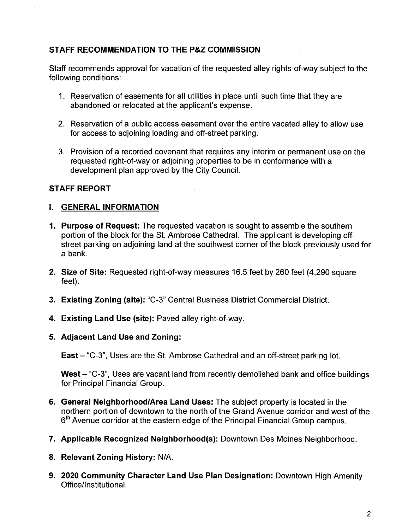# STAFF RECOMMENDATION TO THE P&Z COMMISSION

Staff recommends approval for vacation of the requested alley rights-of-way subject to the following conditions:

- 1. Reservation of easements for all utilities in place until such time that they are abandoned or relocated at the applicant's expense.
- 2. Reservation of a public access easement over the entire vacated alley to allow use for access to adjoining loading and off-street parking.
- 3. Provision of a recorded covenant that requires any interim or permanent use on the requested right-of-way or adjoining properties to be in conformance with a development plan approved by the City Council.

# STAFF REPORT

### I. GENERAL INFORMATION

- 1. Purpose of Request: The requested vacation is sought to assemble the southern portion of the block for the St. Ambrose Cathedral. The applicant is developing offstreet parking on adjoining land at the southwest corner of the block previously used for a bank.
- 2. Size of Site: Requested right-of-way measures 16.5 feet by 260 feet (4.290 square feet).
- 3. Existing Zoning (site): "C-3" Central Business District Commercial District.
- 4. Existing Land Use (site): Paved alley right-of-way.
- 5. Adjacent Land Use and Zoning:

East – "C-3", Uses are the St. Ambrose Cathedral and an off-street parking lot.

West - "C-3", Uses are vacant land from recently demolished bank and office buildings for Principal Financial Group.

- 6. General Neighborhood/Area Land Uses: The subject property is located in the northern portion of downtown to the north of the Grand Avenue corridor and west of the 6<sup>th</sup> Avenue corridor at the eastern edge of the Principal Financial Group campus.
- 7. Applicable Recognized Neighborhood(s): Downtown Des Moines Neighborhood.
- 8. Relevant Zoning History: N/A.
- 9. 2020 Community Character Land Use Plan Designation: Downtown High Amenity Officellnstitutional.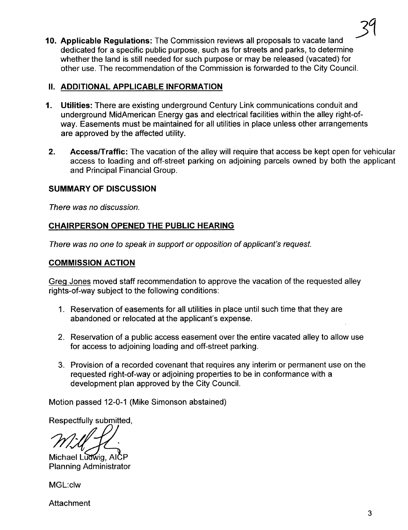10. Applicable Regulations: The Commission reviews all proposals to vacate land dedicated for a specific public purpose, such as for streets and parks, to determine whether the land is still needed for such purpose or may be released (vacated) for other use. The recommendation of the Commission is forwarded to the City CounciL. 34

#### II. ADDITIONAL APPLICABLE INFORMATION

- 1. Utilties: There are existing underground Century Link communications conduit and underground MidAmerican Energy gas and electrical facilities within the alley right-ofway. Easements must be maintained for all utilities in place unless other arrangements are approved by the affected utility.
- 2. Access/Traffic: The vacation of the alley will require that access be kept open for vehicular access to loading and off-street parking on adjoining parcels owned by both the applicant and Principal Financial Group.

### SUMMARY OF DISCUSSION

There was no discussion.

### CHAIRPERSON OPENED THE PUBLIC HEARING

There was no one to speak in support or opposition of applicant's request.

#### COMMISSION ACTION

Greq Jones moved staff recommendation to approve the vacation of the requested alley rights-of-way subject to the following conditions:

- 1. Reservation of easements for all utilities in place until such time that they are abandoned or relocated at the applicant's expense.
- 2. Reservation of a public access easement over the entire vacated alley to allow use for access to adjoining loading and off-street parking.
- 3. Provision of a recorded covenant that requires any interim or permanent use on the requested right-of-way or adjoining properties to be in conformance with a development plan approved by the City Council.

Motion passed 12-0-1 (Mike Simonson abstained)

Respectfully submitted,

Michael Ludwig, AICP<br>Planning Administrator

MGL:c1w

Attachment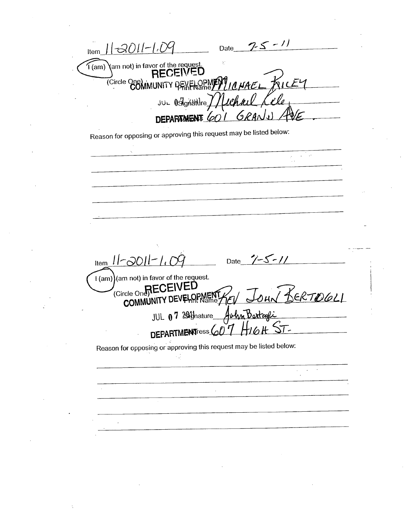Date  $75 - 11$  $11em 11-3011-1.09$  $\widetilde{H}$ (am) am not) in favor of the request. TCircle One) MUNITY PENELOPMENT 10 HAEL KILEY <u>Ille</u> JUL OSIGASHLIFE / / Cha DEPARAMENT 601 Reason for opposing or approving this request may be listed below: Date  $7 - 5 - 11$ Item  $11 - 3011 - 1.09$ I (am) (am not) in favor of the request. (Circle One<sub>1</sub>RECEIVED JOHN BERTOGLI COMMUNITY DEVELOPMENT JUL 07 2014 hature Achin Bartage HIGH DEPARTMENTress 607 Reason for opposing or approving this request may be listed below:  $\sqrt{1-\beta}$  and